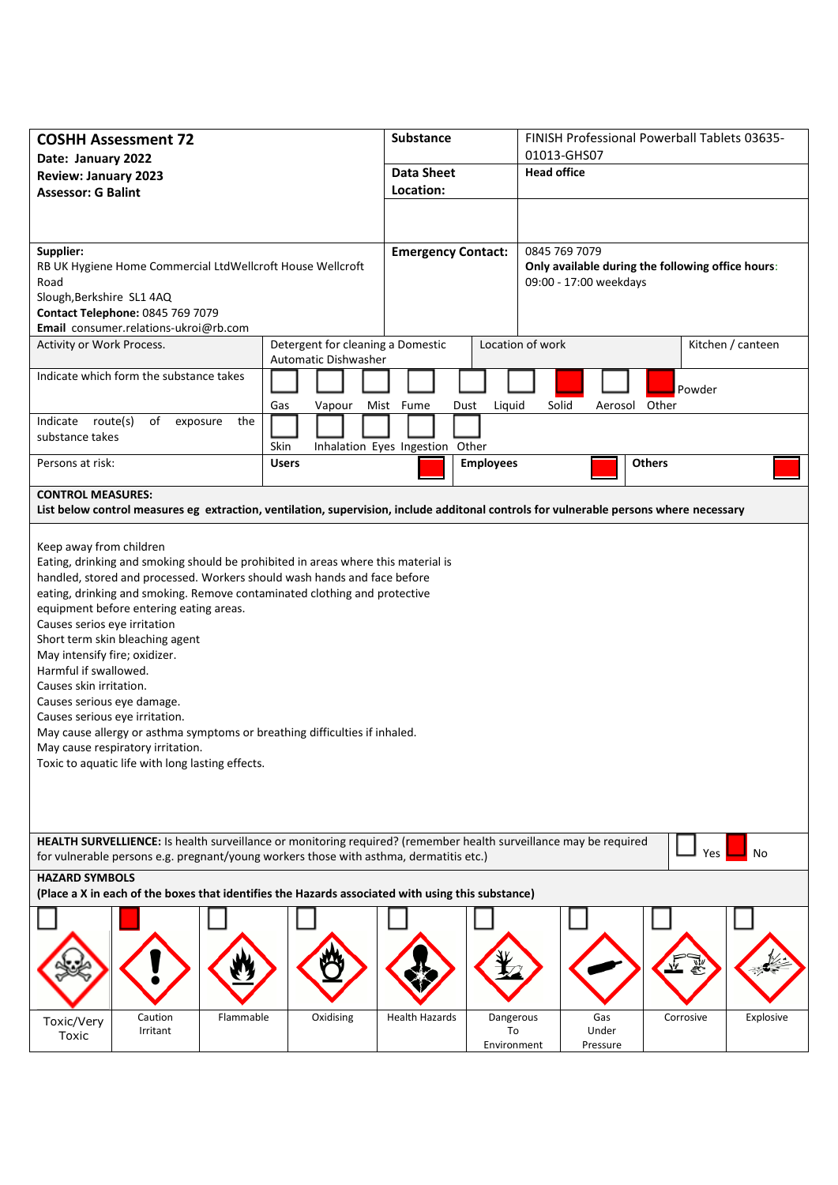| <b>COSHH Assessment 72</b><br>Date: January 2022                                                                                                                                                                                                                                                                                                                                                                                                                                                                                                                                                |                                                                  | <b>Substance</b><br><b>Data Sheet</b><br>Location: |                                | FINISH Professional Powerball Tablets 03635-                                |               |                   |  |
|-------------------------------------------------------------------------------------------------------------------------------------------------------------------------------------------------------------------------------------------------------------------------------------------------------------------------------------------------------------------------------------------------------------------------------------------------------------------------------------------------------------------------------------------------------------------------------------------------|------------------------------------------------------------------|----------------------------------------------------|--------------------------------|-----------------------------------------------------------------------------|---------------|-------------------|--|
|                                                                                                                                                                                                                                                                                                                                                                                                                                                                                                                                                                                                 |                                                                  |                                                    |                                | 01013-GHS07<br><b>Head office</b>                                           |               |                   |  |
| <b>Review: January 2023</b><br><b>Assessor: G Balint</b>                                                                                                                                                                                                                                                                                                                                                                                                                                                                                                                                        |                                                                  |                                                    |                                |                                                                             |               |                   |  |
|                                                                                                                                                                                                                                                                                                                                                                                                                                                                                                                                                                                                 |                                                                  |                                                    |                                |                                                                             |               |                   |  |
|                                                                                                                                                                                                                                                                                                                                                                                                                                                                                                                                                                                                 |                                                                  |                                                    |                                |                                                                             |               |                   |  |
| Supplier:                                                                                                                                                                                                                                                                                                                                                                                                                                                                                                                                                                                       |                                                                  | <b>Emergency Contact:</b>                          |                                | 0845 769 7079                                                               |               |                   |  |
| RB UK Hygiene Home Commercial LtdWellcroft House Wellcroft<br>Road                                                                                                                                                                                                                                                                                                                                                                                                                                                                                                                              |                                                                  |                                                    |                                | Only available during the following office hours:<br>09:00 - 17:00 weekdays |               |                   |  |
| Slough, Berkshire SL1 4AQ                                                                                                                                                                                                                                                                                                                                                                                                                                                                                                                                                                       |                                                                  |                                                    |                                |                                                                             |               |                   |  |
| Contact Telephone: 0845 769 7079                                                                                                                                                                                                                                                                                                                                                                                                                                                                                                                                                                |                                                                  |                                                    |                                |                                                                             |               |                   |  |
| Email consumer.relations-ukroi@rb.com                                                                                                                                                                                                                                                                                                                                                                                                                                                                                                                                                           |                                                                  |                                                    |                                | Location of work                                                            |               |                   |  |
| Activity or Work Process.                                                                                                                                                                                                                                                                                                                                                                                                                                                                                                                                                                       | Detergent for cleaning a Domestic<br><b>Automatic Dishwasher</b> |                                                    |                                |                                                                             |               | Kitchen / canteen |  |
| Indicate which form the substance takes                                                                                                                                                                                                                                                                                                                                                                                                                                                                                                                                                         |                                                                  |                                                    |                                |                                                                             |               | Powder            |  |
|                                                                                                                                                                                                                                                                                                                                                                                                                                                                                                                                                                                                 | Gas<br>Vapour                                                    | Mist Fume<br>Dust                                  | Liquid                         | Solid<br>Aerosol                                                            | Other         |                   |  |
| Indicate route(s)<br>of<br>the<br>exposure                                                                                                                                                                                                                                                                                                                                                                                                                                                                                                                                                      |                                                                  |                                                    |                                |                                                                             |               |                   |  |
| substance takes                                                                                                                                                                                                                                                                                                                                                                                                                                                                                                                                                                                 | Skin                                                             | Inhalation Eyes Ingestion Other                    |                                |                                                                             |               |                   |  |
| Persons at risk:                                                                                                                                                                                                                                                                                                                                                                                                                                                                                                                                                                                | <b>Users</b>                                                     |                                                    | <b>Employees</b>               |                                                                             | <b>Others</b> |                   |  |
| <b>CONTROL MEASURES:</b>                                                                                                                                                                                                                                                                                                                                                                                                                                                                                                                                                                        |                                                                  |                                                    |                                |                                                                             |               |                   |  |
| List below control measures eg extraction, ventilation, supervision, include additonal controls for vulnerable persons where necessary                                                                                                                                                                                                                                                                                                                                                                                                                                                          |                                                                  |                                                    |                                |                                                                             |               |                   |  |
| handled, stored and processed. Workers should wash hands and face before<br>eating, drinking and smoking. Remove contaminated clothing and protective<br>equipment before entering eating areas.<br>Causes serios eye irritation<br>Short term skin bleaching agent<br>May intensify fire; oxidizer.<br>Harmful if swallowed.<br>Causes skin irritation.<br>Causes serious eye damage.<br>Causes serious eye irritation.<br>May cause allergy or asthma symptoms or breathing difficulties if inhaled.<br>May cause respiratory irritation.<br>Toxic to aquatic life with long lasting effects. |                                                                  |                                                    |                                |                                                                             |               |                   |  |
| HEALTH SURVELLIENCE: Is health surveillance or monitoring required? (remember health surveillance may be required<br>for vulnerable persons e.g. pregnant/young workers those with asthma, dermatitis etc.)                                                                                                                                                                                                                                                                                                                                                                                     |                                                                  |                                                    |                                |                                                                             |               | Yes<br>No         |  |
| <b>HAZARD SYMBOLS</b><br>(Place a X in each of the boxes that identifies the Hazards associated with using this substance)                                                                                                                                                                                                                                                                                                                                                                                                                                                                      |                                                                  |                                                    |                                |                                                                             |               |                   |  |
|                                                                                                                                                                                                                                                                                                                                                                                                                                                                                                                                                                                                 |                                                                  |                                                    |                                |                                                                             |               |                   |  |
|                                                                                                                                                                                                                                                                                                                                                                                                                                                                                                                                                                                                 |                                                                  |                                                    |                                |                                                                             |               |                   |  |
| Caution<br>Flammable<br>Toxic/Very<br>Irritant<br>Toxic                                                                                                                                                                                                                                                                                                                                                                                                                                                                                                                                         | Oxidising                                                        | <b>Health Hazards</b>                              | Dangerous<br>To<br>Environment | Gas<br>Under<br>Pressure                                                    | Corrosive     | Explosive         |  |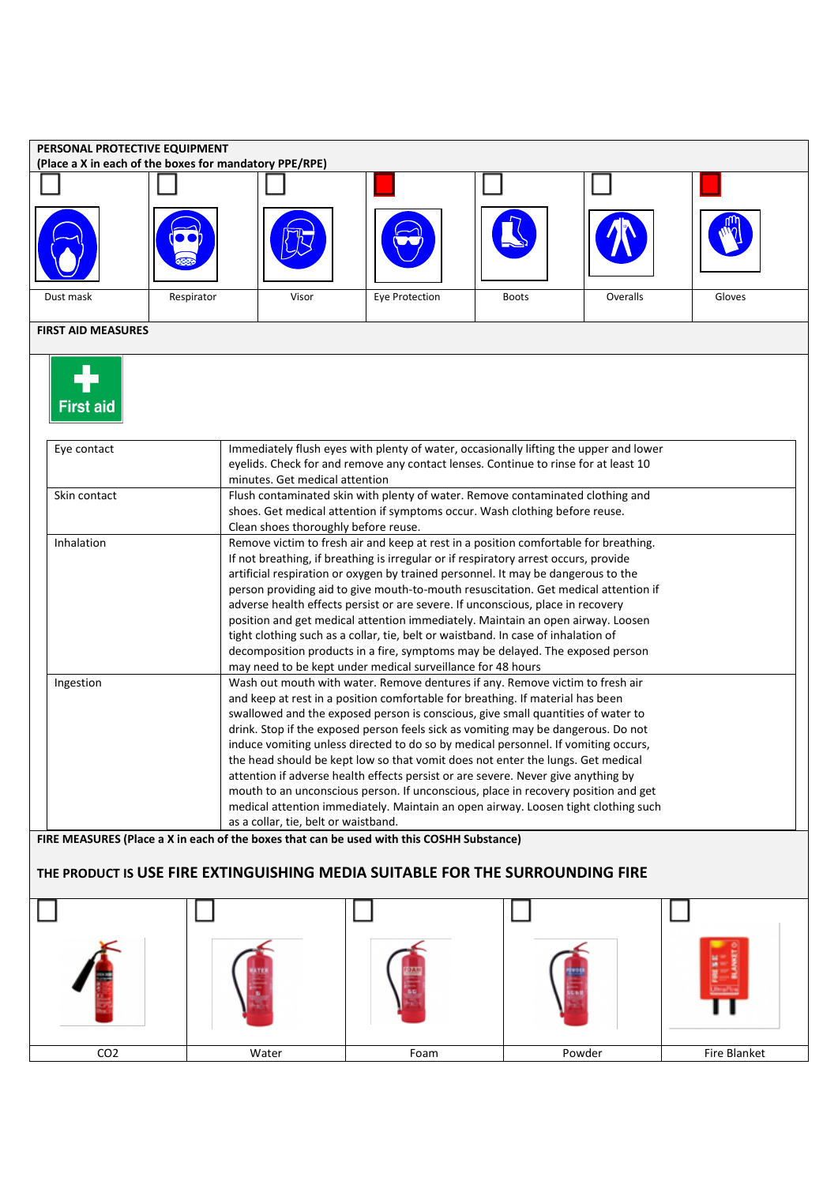|                           | PERSONAL PROTECTIVE EQUIPMENT<br>(Place a X in each of the boxes for mandatory PPE/RPE) |                                                                                                                                                                                                                                                                                                                                                                                                                                                                                                                                                                                                                                                                                                                                                                     |                                                                                                                                                                                                                                                                                                                                                                                                                                                                                                                                                                                                        |              |                                                                                    |        |  |
|---------------------------|-----------------------------------------------------------------------------------------|---------------------------------------------------------------------------------------------------------------------------------------------------------------------------------------------------------------------------------------------------------------------------------------------------------------------------------------------------------------------------------------------------------------------------------------------------------------------------------------------------------------------------------------------------------------------------------------------------------------------------------------------------------------------------------------------------------------------------------------------------------------------|--------------------------------------------------------------------------------------------------------------------------------------------------------------------------------------------------------------------------------------------------------------------------------------------------------------------------------------------------------------------------------------------------------------------------------------------------------------------------------------------------------------------------------------------------------------------------------------------------------|--------------|------------------------------------------------------------------------------------|--------|--|
|                           |                                                                                         |                                                                                                                                                                                                                                                                                                                                                                                                                                                                                                                                                                                                                                                                                                                                                                     |                                                                                                                                                                                                                                                                                                                                                                                                                                                                                                                                                                                                        |              |                                                                                    |        |  |
|                           |                                                                                         |                                                                                                                                                                                                                                                                                                                                                                                                                                                                                                                                                                                                                                                                                                                                                                     |                                                                                                                                                                                                                                                                                                                                                                                                                                                                                                                                                                                                        |              |                                                                                    |        |  |
| Dust mask                 | Respirator                                                                              | Visor                                                                                                                                                                                                                                                                                                                                                                                                                                                                                                                                                                                                                                                                                                                                                               | Eye Protection                                                                                                                                                                                                                                                                                                                                                                                                                                                                                                                                                                                         | <b>Boots</b> | Overalls                                                                           | Gloves |  |
| <b>FIRST AID MEASURES</b> |                                                                                         |                                                                                                                                                                                                                                                                                                                                                                                                                                                                                                                                                                                                                                                                                                                                                                     |                                                                                                                                                                                                                                                                                                                                                                                                                                                                                                                                                                                                        |              |                                                                                    |        |  |
| <b>First aid</b>          |                                                                                         |                                                                                                                                                                                                                                                                                                                                                                                                                                                                                                                                                                                                                                                                                                                                                                     |                                                                                                                                                                                                                                                                                                                                                                                                                                                                                                                                                                                                        |              |                                                                                    |        |  |
| Eye contact               |                                                                                         | Immediately flush eyes with plenty of water, occasionally lifting the upper and lower<br>eyelids. Check for and remove any contact lenses. Continue to rinse for at least 10<br>minutes. Get medical attention                                                                                                                                                                                                                                                                                                                                                                                                                                                                                                                                                      |                                                                                                                                                                                                                                                                                                                                                                                                                                                                                                                                                                                                        |              |                                                                                    |        |  |
| Skin contact              |                                                                                         | Flush contaminated skin with plenty of water. Remove contaminated clothing and<br>shoes. Get medical attention if symptoms occur. Wash clothing before reuse.<br>Clean shoes thoroughly before reuse.                                                                                                                                                                                                                                                                                                                                                                                                                                                                                                                                                               |                                                                                                                                                                                                                                                                                                                                                                                                                                                                                                                                                                                                        |              |                                                                                    |        |  |
| Inhalation                |                                                                                         | Remove victim to fresh air and keep at rest in a position comfortable for breathing.<br>If not breathing, if breathing is irregular or if respiratory arrest occurs, provide<br>artificial respiration or oxygen by trained personnel. It may be dangerous to the<br>person providing aid to give mouth-to-mouth resuscitation. Get medical attention if<br>adverse health effects persist or are severe. If unconscious, place in recovery<br>position and get medical attention immediately. Maintain an open airway. Loosen<br>tight clothing such as a collar, tie, belt or waistband. In case of inhalation of<br>decomposition products in a fire, symptoms may be delayed. The exposed person<br>may need to be kept under medical surveillance for 48 hours |                                                                                                                                                                                                                                                                                                                                                                                                                                                                                                                                                                                                        |              |                                                                                    |        |  |
| Ingestion                 |                                                                                         |                                                                                                                                                                                                                                                                                                                                                                                                                                                                                                                                                                                                                                                                                                                                                                     | Wash out mouth with water. Remove dentures if any. Remove victim to fresh air<br>and keep at rest in a position comfortable for breathing. If material has been<br>swallowed and the exposed person is conscious, give small quantities of water to<br>drink. Stop if the exposed person feels sick as vomiting may be dangerous. Do not<br>induce vomiting unless directed to do so by medical personnel. If vomiting occurs,<br>the head should be kept low so that vomit does not enter the lungs. Get medical<br>attention if adverse health effects persist or are severe. Never give anything by |              | mouth to an unconscious person. If unconscious, place in recovery position and get |        |  |

| CO <sub>2</sub> | Water | Foam | Powder | Fire Blanket |
|-----------------|-------|------|--------|--------------|